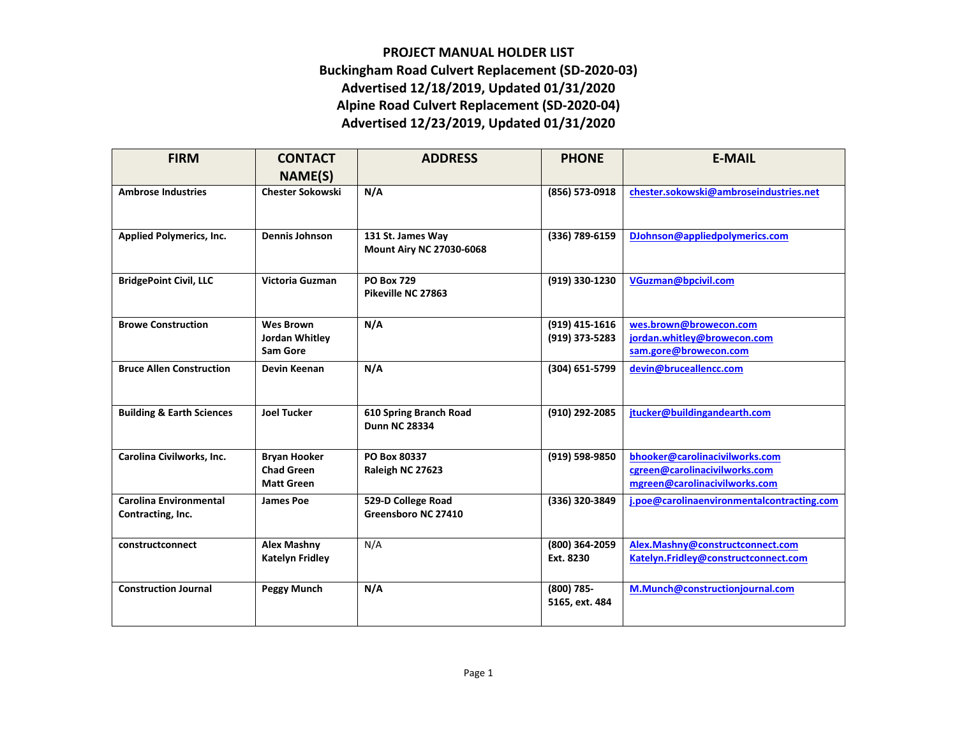## **PROJECT MANUAL HOLDER LIST Buckingham Road Culvert Replacement (SD-2020-03) Advertised 12/18/2019, Updated 01/31/2020 Alpine Road Culvert Replacement (SD-2020-04) Advertised 12/23/2019, Updated 01/31/2020**

| <b>FIRM</b>                          | <b>CONTACT</b><br>NAME(S)              | <b>ADDRESS</b>                                       | <b>PHONE</b>   | <b>E-MAIL</b>                                                  |
|--------------------------------------|----------------------------------------|------------------------------------------------------|----------------|----------------------------------------------------------------|
| <b>Ambrose Industries</b>            | <b>Chester Sokowski</b>                | N/A                                                  | (856) 573-0918 | chester.sokowski@ambroseindustries.net                         |
| <b>Applied Polymerics, Inc.</b>      | <b>Dennis Johnson</b>                  | 131 St. James Way<br><b>Mount Airy NC 27030-6068</b> | (336) 789-6159 | DJohnson@appliedpolymerics.com                                 |
| <b>BridgePoint Civil, LLC</b>        | Victoria Guzman                        | <b>PO Box 729</b><br>Pikeville NC 27863              | (919) 330-1230 | VGuzman@bpcivil.com                                            |
| <b>Browe Construction</b>            | <b>Wes Brown</b>                       | N/A                                                  | (919) 415-1616 | wes.brown@browecon.com                                         |
|                                      | Jordan Whitley<br><b>Sam Gore</b>      |                                                      | (919) 373-5283 | jordan.whitley@browecon.com<br>sam.gore@browecon.com           |
| <b>Bruce Allen Construction</b>      | Devin Keenan                           | N/A                                                  | (304) 651-5799 | devin@bruceallencc.com                                         |
|                                      |                                        |                                                      |                |                                                                |
| <b>Building &amp; Earth Sciences</b> | <b>Joel Tucker</b>                     | 610 Spring Branch Road<br><b>Dunn NC 28334</b>       | (910) 292-2085 | jtucker@buildingandearth.com                                   |
| Carolina Civilworks, Inc.            | <b>Bryan Hooker</b>                    | PO Box 80337                                         | (919) 598-9850 | bhooker@carolinacivilworks.com                                 |
|                                      | <b>Chad Green</b><br><b>Matt Green</b> | Raleigh NC 27623                                     |                | cgreen@carolinacivilworks.com<br>mgreen@carolinacivilworks.com |
| <b>Carolina Environmental</b>        | <b>James Poe</b>                       | 529-D College Road                                   | (336) 320-3849 | j.poe@carolinaenvironmentalcontracting.com                     |
| Contracting, Inc.                    |                                        | Greensboro NC 27410                                  |                |                                                                |
| constructconnect                     | <b>Alex Mashny</b>                     | N/A                                                  | (800) 364-2059 | Alex.Mashny@constructconnect.com                               |
|                                      | Katelyn Fridley                        |                                                      | Ext. 8230      | Katelyn.Fridley@constructconnect.com                           |
| <b>Construction Journal</b>          | Peggy Munch                            | N/A                                                  | (800) 785-     | M.Munch@constructionjournal.com                                |
|                                      |                                        |                                                      | 5165, ext. 484 |                                                                |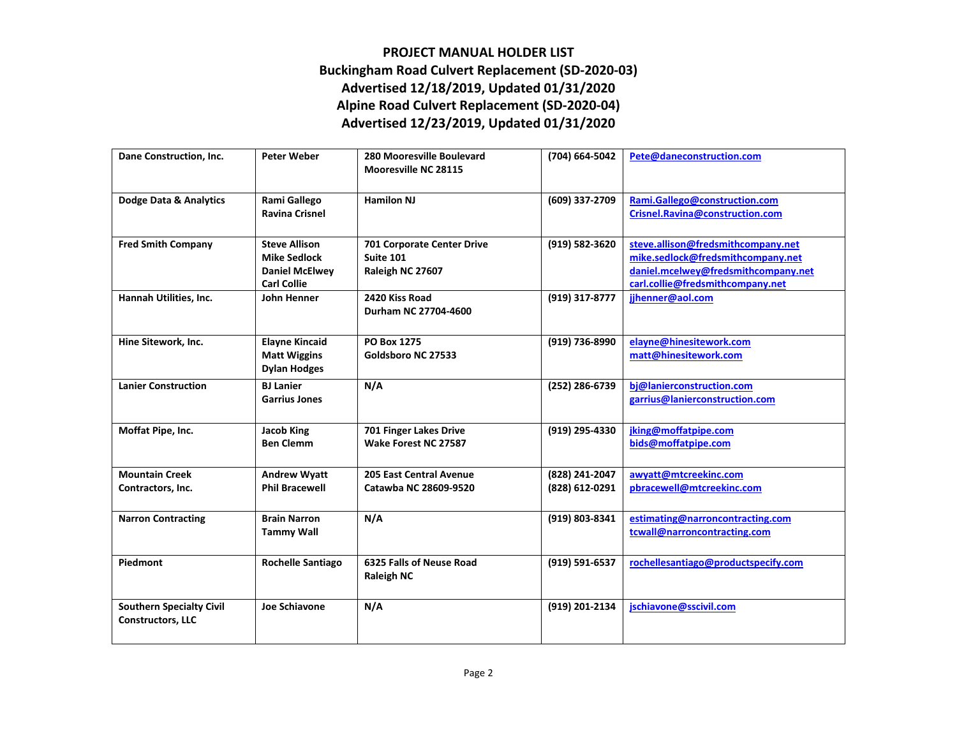## **PROJECT MANUAL HOLDER LIST Buckingham Road Culvert Replacement (SD-2020-03) Advertised 12/18/2019, Updated 01/31/2020 Alpine Road Culvert Replacement (SD-2020-04) Advertised 12/23/2019, Updated 01/31/2020**

| Dane Construction, Inc.                                     | <b>Peter Weber</b>                                                                         | 280 Mooresville Boulevard<br><b>Mooresville NC 28115</b>           | (704) 664-5042                   | Pete@daneconstruction.com                                                                                                                          |
|-------------------------------------------------------------|--------------------------------------------------------------------------------------------|--------------------------------------------------------------------|----------------------------------|----------------------------------------------------------------------------------------------------------------------------------------------------|
| Dodge Data & Analytics                                      | Rami Gallego<br><b>Ravina Crisnel</b>                                                      | <b>Hamilon NJ</b>                                                  | (609) 337-2709                   | Rami.Gallego@construction.com<br>Crisnel.Ravina@construction.com                                                                                   |
| <b>Fred Smith Company</b>                                   | <b>Steve Allison</b><br><b>Mike Sedlock</b><br><b>Daniel McElwey</b><br><b>Carl Collie</b> | 701 Corporate Center Drive<br><b>Suite 101</b><br>Raleigh NC 27607 | (919) 582-3620                   | steve.allison@fredsmithcompany.net<br>mike.sedlock@fredsmithcompany.net<br>daniel.mcelwey@fredsmithcompany.net<br>carl.collie@fredsmithcompany.net |
| Hannah Utilities, Inc.                                      | John Henner                                                                                | 2420 Kiss Road<br>Durham NC 27704-4600                             | (919) 317-8777                   | jihenner@aol.com                                                                                                                                   |
| Hine Sitework, Inc.                                         | <b>Elayne Kincaid</b><br><b>Matt Wiggins</b><br><b>Dylan Hodges</b>                        | PO Box 1275<br>Goldsboro NC 27533                                  | (919) 736-8990                   | elayne@hinesitework.com<br>matt@hinesitework.com                                                                                                   |
| <b>Lanier Construction</b>                                  | <b>BJ</b> Lanier<br><b>Garrius Jones</b>                                                   | N/A                                                                | (252) 286-6739                   | bj@lanierconstruction.com<br>garrius@lanierconstruction.com                                                                                        |
| Moffat Pipe, Inc.                                           | <b>Jacob King</b><br><b>Ben Clemm</b>                                                      | 701 Finger Lakes Drive<br>Wake Forest NC 27587                     | (919) 295-4330                   | jking@moffatpipe.com<br>bids@moffatpipe.com                                                                                                        |
| <b>Mountain Creek</b><br>Contractors, Inc.                  | <b>Andrew Wyatt</b><br><b>Phil Bracewell</b>                                               | <b>205 East Central Avenue</b><br>Catawba NC 28609-9520            | (828) 241-2047<br>(828) 612-0291 | awyatt@mtcreekinc.com<br>pbracewell@mtcreekinc.com                                                                                                 |
| <b>Narron Contracting</b>                                   | <b>Brain Narron</b><br><b>Tammy Wall</b>                                                   | N/A                                                                | (919) 803-8341                   | estimating@narroncontracting.com<br>tcwall@narroncontracting.com                                                                                   |
| Piedmont                                                    | <b>Rochelle Santiago</b>                                                                   | 6325 Falls of Neuse Road<br><b>Raleigh NC</b>                      | (919) 591-6537                   | rochellesantiago@productspecify.com                                                                                                                |
| <b>Southern Specialty Civil</b><br><b>Constructors, LLC</b> | Joe Schiavone                                                                              | N/A                                                                | (919) 201-2134                   | jschiavone@sscivil.com                                                                                                                             |